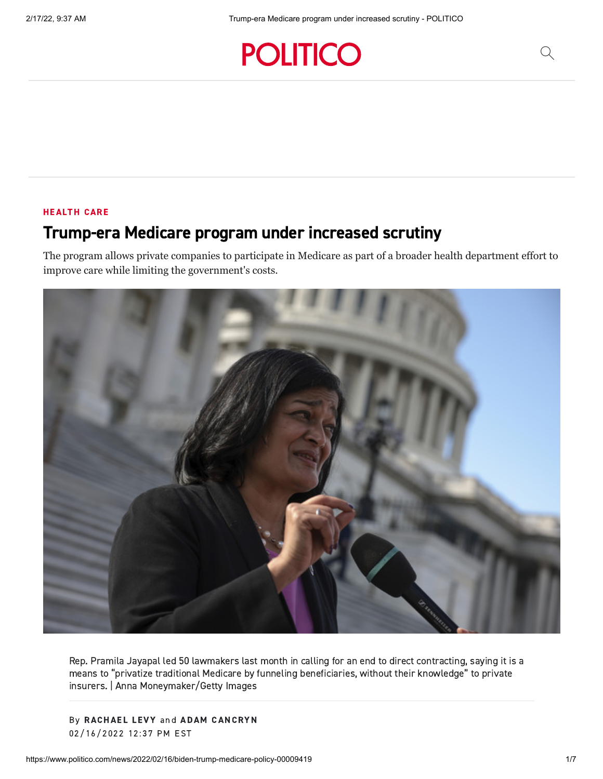## **POLITICO**

## [HEALTH](https://www.politico.com/health-care) CARE

## Trump-era Medicare program under increased scrutiny

The program allows private companies to participate in Medicare as part of a broader health department effort to improve care while limiting the government's costs.



Rep. Pramila Jayapal led 50 lawmakers last month in calling for an end to direct contracting, saying it is a means to "privatize traditional Medicare by funneling beneficiaries, without their knowledge" to private insurers. | Anna Moneymaker/Getty Images

By [RACHAE](https://www.politico.com/staff/rachael-levy)L LEVY and ADAM [CANCRYN](https://www.politico.com/staff/adam-cancryn) 02/16/2022 12:37 PM EST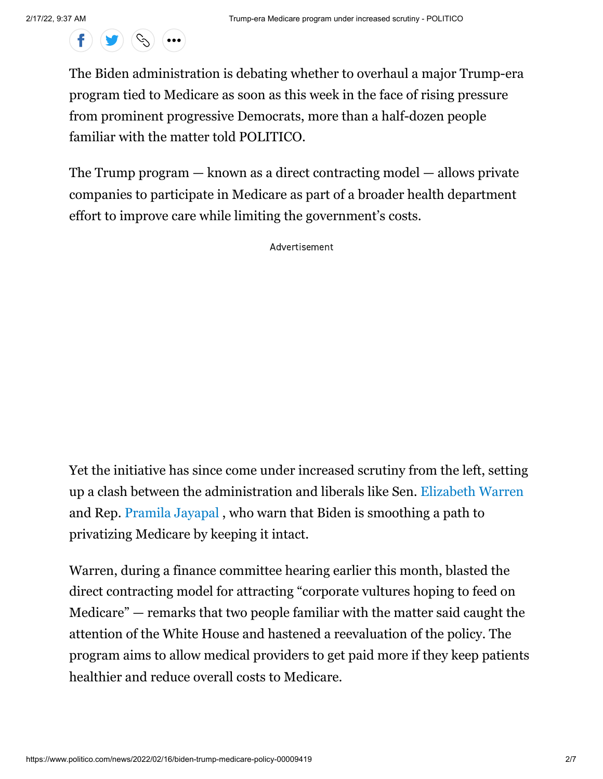$\left( \begin{array}{c} \mathbf{f} \end{array} \right) \left( \begin{array}{c} \mathbf{g} \end{array} \right) \left( \begin{array}{c} \mathbf{c} \mathbf{g} \end{array} \right)$  (...

The Biden administration is debating whether to overhaul a major Trump-era program tied to Medicare as soon as this week in the face of rising pressure from prominent progressive Democrats, more than a half-dozen people familiar with the matter told POLITICO.

The Trump program — known as a direct contracting model — allows private companies to participate in Medicare as part of a broader health department effort to improve care while limiting the government's costs.

Advertisement

Yet the initiative has since come under increased scrutiny from the left, setting up a clash between the administration and liberals like Sen. [Elizabeth Warren](https://cd.politicopro.com/member/140963) and Rep. [Pramila Jayapal](https://cd.politicopro.com/member/239242) , who warn that Biden is smoothing a path to privatizing Medicare by keeping it intact.

Warren, during a finance committee hearing earlier this month, blasted the direct contracting model for attracting "corporate vultures hoping to feed on Medicare" — remarks that two people familiar with the matter said caught the attention of the White House and hastened a reevaluation of the policy. The program aims to allow medical providers to get paid more if they keep patients healthier and reduce overall costs to Medicare.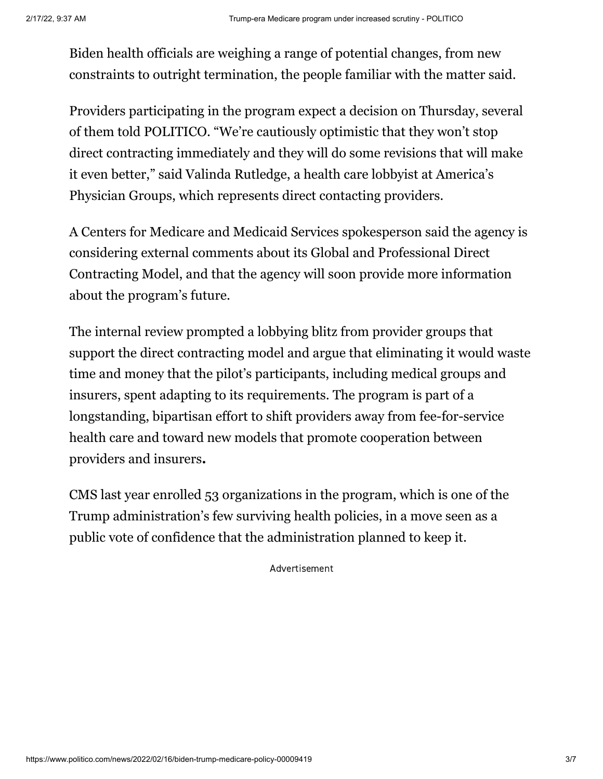Biden health officials are weighing a range of potential changes, from new constraints to outright termination, the people familiar with the matter said.

Providers participating in the program expect a decision on Thursday, several of them told POLITICO. "We're cautiously optimistic that they won't stop direct contracting immediately and they will do some revisions that will make it even better," said Valinda Rutledge, a health care lobbyist at America's Physician Groups, which represents direct contacting providers.

A Centers for Medicare and Medicaid Services spokesperson said the agency is considering external comments about its Global and Professional Direct Contracting Model, and that the agency will soon provide more information about the program's future.

The internal review prompted a lobbying blitz from provider groups that support the direct contracting model and argue that eliminating it would waste time and money that the pilot's participants, including medical groups and insurers, spent adapting to its requirements. The program is part of a longstanding, bipartisan effort to shift providers away from fee-for-service health care and toward new models that promote cooperation between providers and insurers**.**

CMS last year enrolled 53 organizations in the program, which is one of the Trump administration's few surviving health policies, in a move seen as a public vote of confidence that the administration planned to keep it.

Advertisement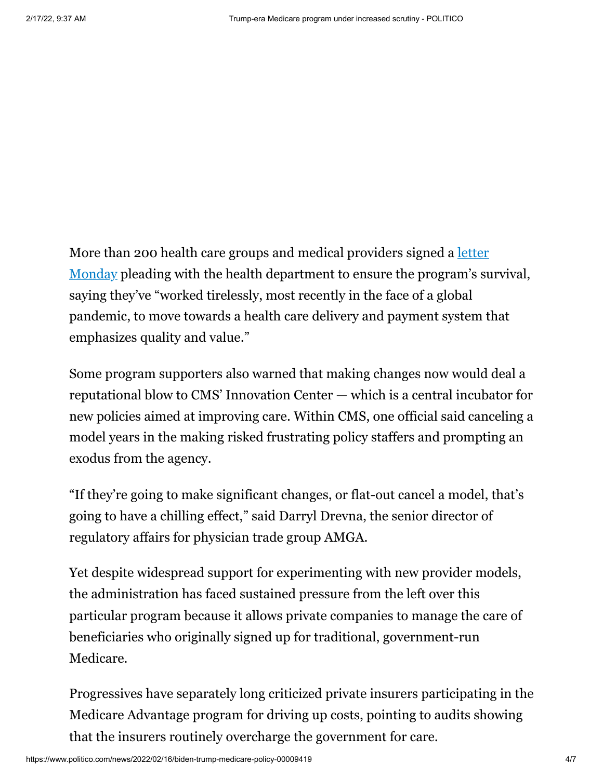More than 200 health care groups and medical providers signed a <u>letter</u> [Monday pleading with the health department to ensure the program's su](https://www.naacos.com/continuing-and-improving-the-direct-contracting-model-sign-on-letter)rvival, saying they've "worked tirelessly, most recently in the face of a global pandemic, to move towards a health care delivery and payment system that emphasizes quality and value."

Some program supporters also warned that making changes now would deal a reputational blow to CMS' Innovation Center — which is a central incubator for new policies aimed at improving care. Within CMS, one official said canceling a model years in the making risked frustrating policy staffers and prompting an exodus from the agency.

"If they're going to make significant changes, or flat-out cancel a model, that's going to have a chilling effect," said Darryl Drevna, the senior director of regulatory affairs for physician trade group AMGA.

Yet despite widespread support for experimenting with new provider models, the administration has faced sustained pressure from the left over this particular program because it allows private companies to manage the care of beneficiaries who originally signed up for traditional, government-run Medicare.

Progressives have separately long criticized private insurers participating in the Medicare Advantage program for driving up costs, pointing to audits showing that the insurers routinely overcharge the government for care.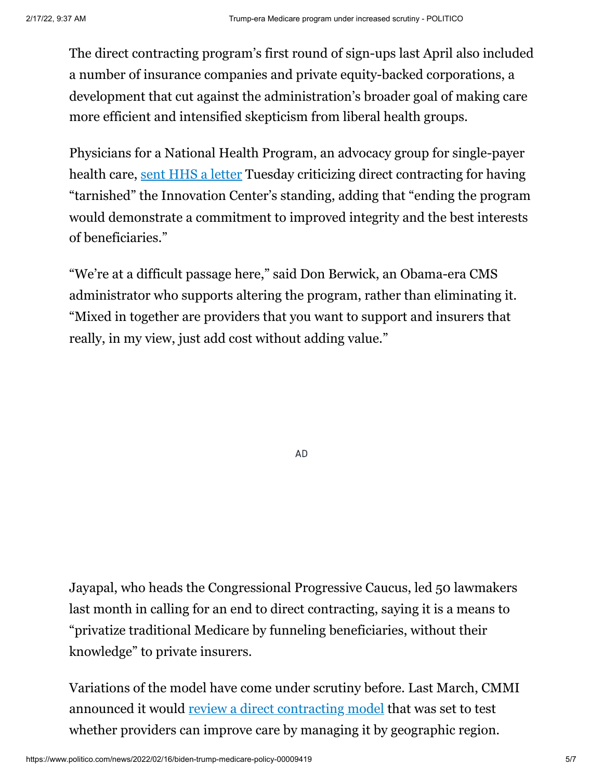The direct contracting program's first round of sign-ups last April also included a number of insurance companies and private equity-backed corporations, a development that cut against the administration's broader goal of making care more efficient and intensified skepticism from liberal health groups.

Physicians for a National Health Program, an advocacy group for single-payer health care, [sent HHS a letter](https://pnhp.org/system/assets/uploads/2022/02/PhysicianLetterToSecBecerra_20220215.pdf?eType=EmailBlastContent&eId=611df253-09d0-4d80-8067-84b5dea91044) Tuesday criticizing direct contracting for having "tarnished" the Innovation Center's standing, adding that "ending the program would demonstrate a commitment to improved integrity and the best interests of beneficiaries."

"We're at a difficult passage here," said Don Berwick, an Obama-era CMS administrator who supports altering the program, rather than eliminating it. "Mixed in together are providers that you want to support and insurers that really, in my view, just add cost without adding value."

AD

Jayapal, who heads the Congressional Progressive Caucus, led 50 lawmakers last month in calling for an end to direct contracting, saying it is a means to "privatize traditional Medicare by funneling beneficiaries, without their knowledge" to private insurers.

Variations of the model have come under scrutiny before. Last March, CMMI announced it would [review a direct contracting model](https://www.politico.com/newsletters/politico-pulse/2021/03/02/untangling-bidens-vaccine-timeline-793705) that was set to test whether providers can improve care by managing it by geographic region.